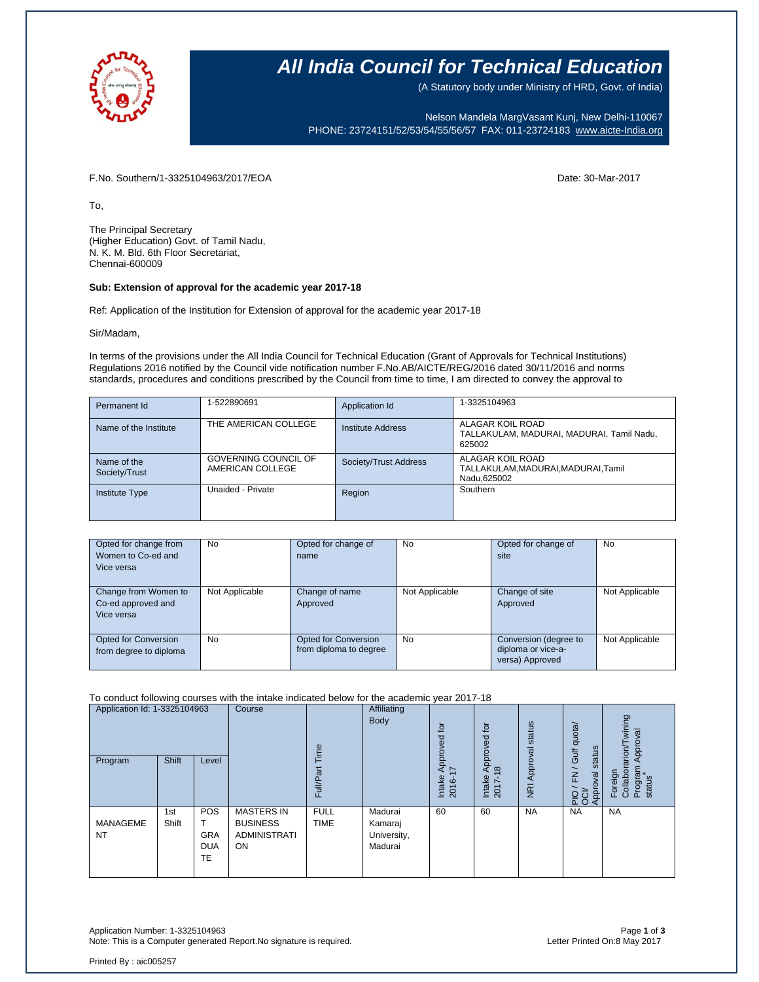

## **All India Council for Technical Education**

(A Statutory body under Ministry of HRD, Govt. of India)

Nelson Mandela MargVasant Kunj, New Delhi-110067 PHONE: 23724151/52/53/54/55/56/57 FAX: 011-23724183 [www.aicte-India.org](http://www.aicte-india.org/)

F.No. Southern/1-3325104963/2017/EOA Date: 30-Mar-2017

To,

The Principal Secretary (Higher Education) Govt. of Tamil Nadu, N. K. M. Bld. 6th Floor Secretariat, Chennai-600009

#### **Sub: Extension of approval for the academic year 2017-18**

Ref: Application of the Institution for Extension of approval for the academic year 2017-18

Sir/Madam,

In terms of the provisions under the All India Council for Technical Education (Grant of Approvals for Technical Institutions) Regulations 2016 notified by the Council vide notification number F.No.AB/AICTE/REG/2016 dated 30/11/2016 and norms standards, procedures and conditions prescribed by the Council from time to time, I am directed to convey the approval to

| Permanent Id                 | 1-522890691                              | Application Id        | 1-3325104963                                                            |
|------------------------------|------------------------------------------|-----------------------|-------------------------------------------------------------------------|
| Name of the Institute        | THE AMERICAN COLLEGE                     | Institute Address     | ALAGAR KOIL ROAD<br>TALLAKULAM, MADURAI, MADURAI, Tamil Nadu,<br>625002 |
| Name of the<br>Society/Trust | GOVERNING COUNCIL OF<br>AMERICAN COLLEGE | Society/Trust Address | ALAGAR KOIL ROAD<br>TALLAKULAM, MADURAI, MADURAI, Tamil<br>Nadu, 625002 |
| <b>Institute Type</b>        | Unaided - Private                        | Region                | Southern                                                                |

| Opted for change from<br>Women to Co-ed and<br>Vice versa | No             | Opted for change of<br>name                    | <b>No</b>      | Opted for change of<br>site                                    | <b>No</b>      |
|-----------------------------------------------------------|----------------|------------------------------------------------|----------------|----------------------------------------------------------------|----------------|
| Change from Women to<br>Co-ed approved and<br>Vice versa  | Not Applicable | Change of name<br>Approved                     | Not Applicable | Change of site<br>Approved                                     | Not Applicable |
| Opted for Conversion<br>from degree to diploma            | No             | Opted for Conversion<br>from diploma to degree | <b>No</b>      | Conversion (degree to<br>diploma or vice-a-<br>versa) Approved | Not Applicable |

#### To conduct following courses with the intake indicated below for the academic year 2017-18

| Application Id: 1-3325104963<br>Program | <b>Shift</b> | Level                                 | Course                                                            | euii.<br>Full/Par          | Affiliating<br><b>Body</b>                   | $\overline{5}$<br>್ಲಾ<br>Approv<br>7<br>Intake<br>$\circ$<br>201 | .pt<br>ಠ<br>$\delta$<br>$\frac{1}{2}$<br>$\infty$<br>Intake<br>2017- | status<br>Approval<br>$\overline{R}$ | Gulf quota/<br>status<br>$\geq$<br>Approval<br>운영 | wining<br>Approval<br>rarion/<br>Program<br>Foreign<br>Collabor<br>status |
|-----------------------------------------|--------------|---------------------------------------|-------------------------------------------------------------------|----------------------------|----------------------------------------------|------------------------------------------------------------------|----------------------------------------------------------------------|--------------------------------------|---------------------------------------------------|---------------------------------------------------------------------------|
| <b>MANAGEME</b><br><b>NT</b>            | 1st<br>Shift | POS<br><b>GRA</b><br><b>DUA</b><br>TE | <b>MASTERS IN</b><br><b>BUSINESS</b><br><b>ADMINISTRATI</b><br>ON | <b>FULL</b><br><b>TIME</b> | Madurai<br>Kamaraj<br>University,<br>Madurai | 60                                                               | 60                                                                   | <b>NA</b>                            | <b>NA</b>                                         | <b>NA</b>                                                                 |

Application Number: 1-3325104963 Page **1** of **3** Note: This is a Computer generated Report.No signature is required.

Printed By : aic005257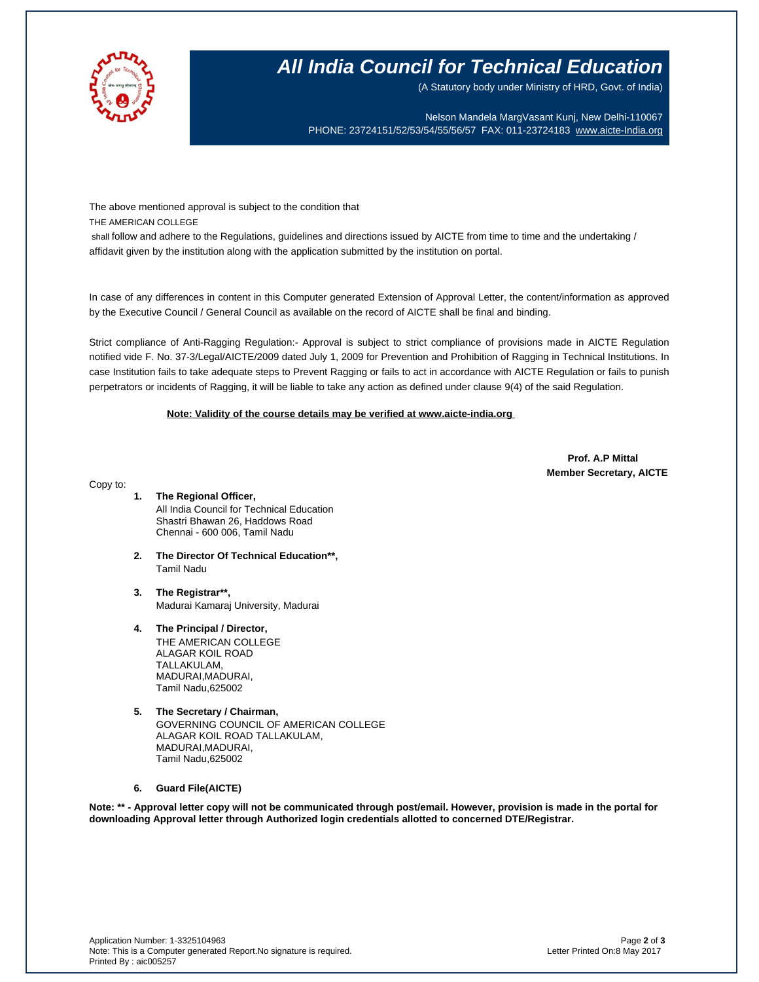

# **All India Council for Technical Education**

(A Statutory body under Ministry of HRD, Govt. of India)

Nelson Mandela MargVasant Kunj, New Delhi-110067 PHONE: 23724151/52/53/54/55/56/57 FAX: 011-23724183 [www.aicte-India.org](http://www.aicte-india.org/)

The above mentioned approval is subject to the condition that

THE AMERICAN COLLEGE

shall follow and adhere to the Regulations, guidelines and directions issued by AICTE from time to time and the undertaking / affidavit given by the institution along with the application submitted by the institution on portal.

In case of any differences in content in this Computer generated Extension of Approval Letter, the content/information as approved by the Executive Council / General Council as available on the record of AICTE shall be final and binding.

Strict compliance of Anti-Ragging Regulation:- Approval is subject to strict compliance of provisions made in AICTE Regulation notified vide F. No. 37-3/Legal/AICTE/2009 dated July 1, 2009 for Prevention and Prohibition of Ragging in Technical Institutions. In case Institution fails to take adequate steps to Prevent Ragging or fails to act in accordance with AICTE Regulation or fails to punish perpetrators or incidents of Ragging, it will be liable to take any action as defined under clause 9(4) of the said Regulation.

### **Note: Validity of the course details may be verified at www.aicte-india.org**

 **Prof. A.P Mittal Member Secretary, AICTE**

Copy to:

- **1. The Regional Officer,** All India Council for Technical Education Shastri Bhawan 26, Haddows Road Chennai - 600 006, Tamil Nadu
- **2. The Director Of Technical Education\*\*,** Tamil Nadu
- **3. The Registrar\*\*,** Madurai Kamaraj University, Madurai
- **4. The Principal / Director,** THE AMERICAN COLLEGE ALAGAR KOIL ROAD TALLAKULAM, MADURAI,MADURAI, Tamil Nadu,625002
- **5. The Secretary / Chairman,** GOVERNING COUNCIL OF AMERICAN COLLEGE ALAGAR KOIL ROAD TALLAKULAM, MADURAI,MADURAI, Tamil Nadu,625002

### **6. Guard File(AICTE)**

**Note: \*\* - Approval letter copy will not be communicated through post/email. However, provision is made in the portal for downloading Approval letter through Authorized login credentials allotted to concerned DTE/Registrar.**